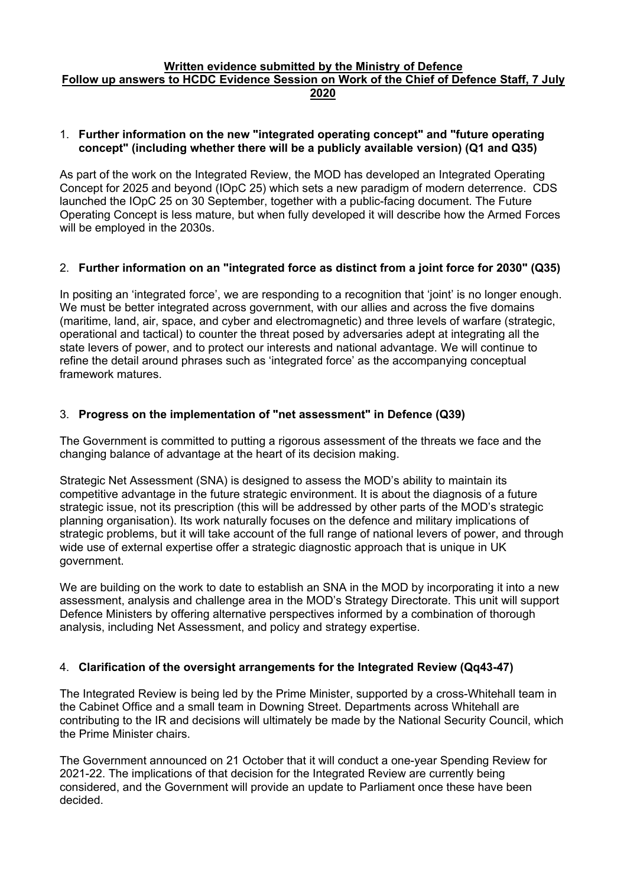#### **Written evidence submitted by the Ministry of Defence Follow up answers to HCDC Evidence Session on Work of the Chief of Defence Staff, 7 July 2020**

#### 1. **Further information on the new "integrated operating concept" and "future operating concept" (including whether there will be a publicly available version) (Q1 and Q35)**

As part of the work on the Integrated Review, the MOD has developed an Integrated Operating Concept for 2025 and beyond (IOpC 25) which sets a new paradigm of modern deterrence. CDS launched the IOpC 25 on 30 September, together with a public-facing document. The Future Operating Concept is less mature, but when fully developed it will describe how the Armed Forces will be employed in the 2030s.

## 2. **Further information on an "integrated force as distinct from a joint force for 2030" (Q35)**

In positing an 'integrated force', we are responding to a recognition that 'joint' is no longer enough. We must be better integrated across government, with our allies and across the five domains (maritime, land, air, space, and cyber and electromagnetic) and three levels of warfare (strategic, operational and tactical) to counter the threat posed by adversaries adept at integrating all the state levers of power, and to protect our interests and national advantage. We will continue to refine the detail around phrases such as 'integrated force' as the accompanying conceptual framework matures.

## 3. **Progress on the implementation of "net assessment" in Defence (Q39)**

The Government is committed to putting a rigorous assessment of the threats we face and the changing balance of advantage at the heart of its decision making.

Strategic Net Assessment (SNA) is designed to assess the MOD's ability to maintain its competitive advantage in the future strategic environment. It is about the diagnosis of a future strategic issue, not its prescription (this will be addressed by other parts of the MOD's strategic planning organisation). Its work naturally focuses on the defence and military implications of strategic problems, but it will take account of the full range of national levers of power, and through wide use of external expertise offer a strategic diagnostic approach that is unique in UK government.

We are building on the work to date to establish an SNA in the MOD by incorporating it into a new assessment, analysis and challenge area in the MOD's Strategy Directorate. This unit will support Defence Ministers by offering alternative perspectives informed by a combination of thorough analysis, including Net Assessment, and policy and strategy expertise.

### 4. **Clarification of the oversight arrangements for the Integrated Review (Qq43-47)**

The Integrated Review is being led by the Prime Minister, supported by a cross-Whitehall team in the Cabinet Office and a small team in Downing Street. Departments across Whitehall are contributing to the IR and decisions will ultimately be made by the National Security Council, which the Prime Minister chairs.

The Government announced on 21 October that it will conduct a one-year Spending Review for 2021-22. The implications of that decision for the Integrated Review are currently being considered, and the Government will provide an update to Parliament once these have been decided.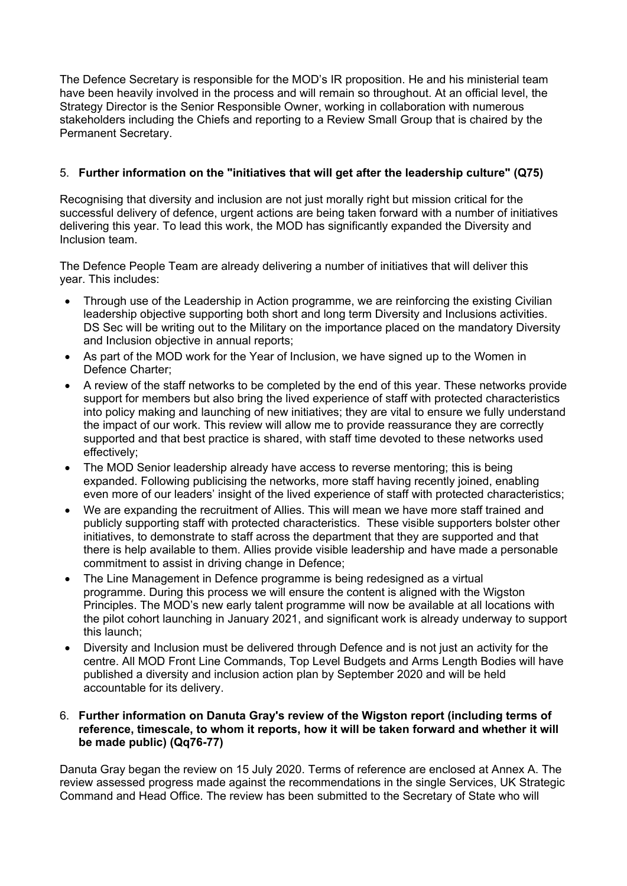The Defence Secretary is responsible for the MOD's IR proposition. He and his ministerial team have been heavily involved in the process and will remain so throughout. At an official level, the Strategy Director is the Senior Responsible Owner, working in collaboration with numerous stakeholders including the Chiefs and reporting to a Review Small Group that is chaired by the Permanent Secretary.

## 5. **Further information on the "initiatives that will get after the leadership culture" (Q75)**

Recognising that diversity and inclusion are not just morally right but mission critical for the successful delivery of defence, urgent actions are being taken forward with a number of initiatives delivering this year. To lead this work, the MOD has significantly expanded the Diversity and Inclusion team.

The Defence People Team are already delivering a number of initiatives that will deliver this year. This includes:

- Through use of the Leadership in Action programme, we are reinforcing the existing Civilian leadership objective supporting both short and long term Diversity and Inclusions activities. DS Sec will be writing out to the Military on the importance placed on the mandatory Diversity and Inclusion objective in annual reports;
- As part of the MOD work for the Year of Inclusion, we have signed up to the Women in Defence Charter;
- A review of the staff networks to be completed by the end of this year. These networks provide support for members but also bring the lived experience of staff with protected characteristics into policy making and launching of new initiatives; they are vital to ensure we fully understand the impact of our work. This review will allow me to provide reassurance they are correctly supported and that best practice is shared, with staff time devoted to these networks used effectively;
- The MOD Senior leadership already have access to reverse mentoring; this is being expanded. Following publicising the networks, more staff having recently joined, enabling even more of our leaders' insight of the lived experience of staff with protected characteristics;
- We are expanding the recruitment of Allies. This will mean we have more staff trained and publicly supporting staff with protected characteristics. These visible supporters bolster other initiatives, to demonstrate to staff across the department that they are supported and that there is help available to them. Allies provide visible leadership and have made a personable commitment to assist in driving change in Defence;
- The Line Management in Defence programme is being redesigned as a virtual programme. During this process we will ensure the content is aligned with the Wigston Principles. The MOD's new early talent programme will now be available at all locations with the pilot cohort launching in January 2021, and significant work is already underway to support this launch;
- Diversity and Inclusion must be delivered through Defence and is not just an activity for the centre. All MOD Front Line Commands, Top Level Budgets and Arms Length Bodies will have published a diversity and inclusion action plan by September 2020 and will be held accountable for its delivery.

#### 6. **Further information on Danuta Gray's review of the Wigston report (including terms of reference, timescale, to whom it reports, how it will be taken forward and whether it will be made public) (Qq76-77)**

Danuta Gray began the review on 15 July 2020. Terms of reference are enclosed at Annex A. The review assessed progress made against the recommendations in the single Services, UK Strategic Command and Head Office. The review has been submitted to the Secretary of State who will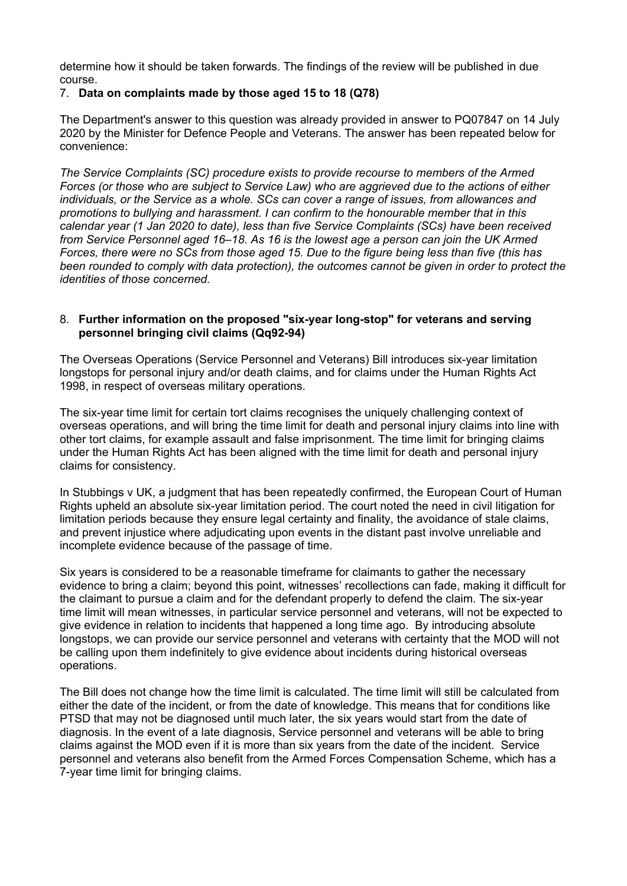determine how it should be taken forwards. The findings of the review will be published in due course.

### 7. **Data on complaints made by those aged 15 to 18 (Q78)**

The Department's answer to this question was already provided in answer to PQ07847 on 14 July 2020 by the Minister for Defence People and Veterans. The answer has been repeated below for convenience:

*The Service Complaints (SC) procedure exists to provide recourse to members of the Armed Forces (or those who are subject to Service Law) who are aggrieved due to the actions of either individuals, or the Service as a whole. SCs can cover a range of issues, from allowances and promotions to bullying and harassment. I can confirm to the honourable member that in this calendar year (1 Jan 2020 to date), less than five Service Complaints (SCs) have been received from Service Personnel aged 16–18. As 16 is the lowest age a person can join the UK Armed* Forces, there were no SCs from those aged 15. Due to the figure being less than five (this has *been rounded to comply with data protection), the outcomes cannot be given in order to protect the identities of those concerned.*

#### 8. **Further information on the proposed "six-year long-stop" for veterans and serving personnel bringing civil claims (Qq92-94)**

The Overseas Operations (Service Personnel and Veterans) Bill introduces six-year limitation longstops for personal injury and/or death claims, and for claims under the Human Rights Act 1998, in respect of overseas military operations.

The six-year time limit for certain tort claims recognises the uniquely challenging context of overseas operations, and will bring the time limit for death and personal injury claims into line with other tort claims, for example assault and false imprisonment. The time limit for bringing claims under the Human Rights Act has been aligned with the time limit for death and personal injury claims for consistency.

In Stubbings v UK, a judgment that has been repeatedly confirmed, the European Court of Human Rights upheld an absolute six-year limitation period. The court noted the need in civil litigation for limitation periods because they ensure legal certainty and finality, the avoidance of stale claims, and prevent injustice where adjudicating upon events in the distant past involve unreliable and incomplete evidence because of the passage of time.

Six years is considered to be a reasonable timeframe for claimants to gather the necessary evidence to bring a claim; beyond this point, witnesses' recollections can fade, making it difficult for the claimant to pursue a claim and for the defendant properly to defend the claim. The six-year time limit will mean witnesses, in particular service personnel and veterans, will not be expected to give evidence in relation to incidents that happened a long time ago. By introducing absolute longstops, we can provide our service personnel and veterans with certainty that the MOD will not be calling upon them indefinitely to give evidence about incidents during historical overseas operations.

The Bill does not change how the time limit is calculated. The time limit will still be calculated from either the date of the incident, or from the date of knowledge. This means that for conditions like PTSD that may not be diagnosed until much later, the six years would start from the date of diagnosis. In the event of a late diagnosis, Service personnel and veterans will be able to bring claims against the MOD even if it is more than six years from the date of the incident. Service personnel and veterans also benefit from the Armed Forces Compensation Scheme, which has a 7-year time limit for bringing claims.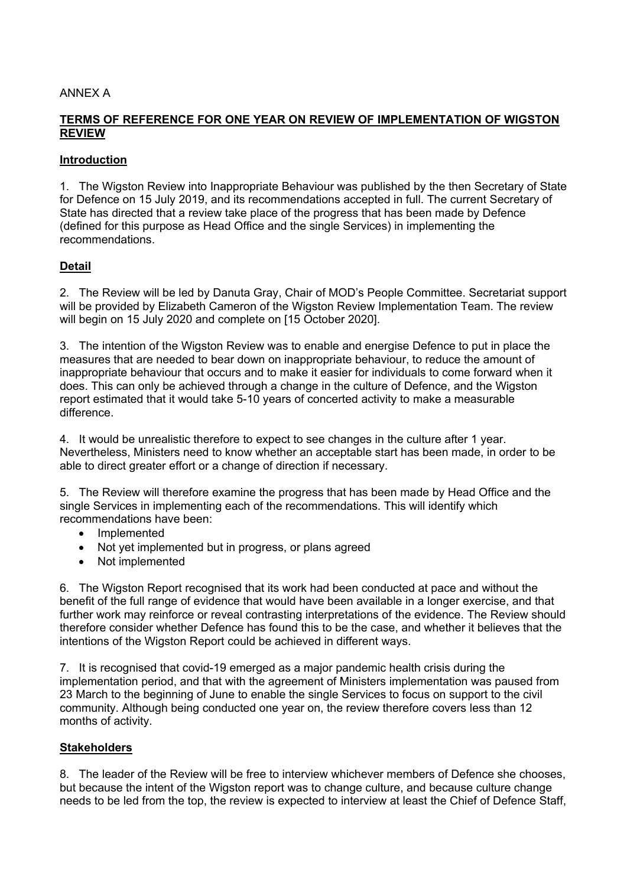## ANNEX A

## **TERMS OF REFERENCE FOR ONE YEAR ON REVIEW OF IMPLEMENTATION OF WIGSTON REVIEW**

### **Introduction**

1. The Wigston Review into Inappropriate Behaviour was published by the then Secretary of State for Defence on 15 July 2019, and its recommendations accepted in full. The current Secretary of State has directed that a review take place of the progress that has been made by Defence (defined for this purpose as Head Office and the single Services) in implementing the recommendations.

## **Detail**

2. The Review will be led by Danuta Gray, Chair of MOD's People Committee. Secretariat support will be provided by Elizabeth Cameron of the Wigston Review Implementation Team. The review will begin on 15 July 2020 and complete on [15 October 2020].

3. The intention of the Wigston Review was to enable and energise Defence to put in place the measures that are needed to bear down on inappropriate behaviour, to reduce the amount of inappropriate behaviour that occurs and to make it easier for individuals to come forward when it does. This can only be achieved through a change in the culture of Defence, and the Wigston report estimated that it would take 5-10 years of concerted activity to make a measurable difference.

4. It would be unrealistic therefore to expect to see changes in the culture after 1 year. Nevertheless, Ministers need to know whether an acceptable start has been made, in order to be able to direct greater effort or a change of direction if necessary.

5. The Review will therefore examine the progress that has been made by Head Office and the single Services in implementing each of the recommendations. This will identify which recommendations have been:

- Implemented
- Not yet implemented but in progress, or plans agreed
- Not implemented

6. The Wigston Report recognised that its work had been conducted at pace and without the benefit of the full range of evidence that would have been available in a longer exercise, and that further work may reinforce or reveal contrasting interpretations of the evidence. The Review should therefore consider whether Defence has found this to be the case, and whether it believes that the intentions of the Wigston Report could be achieved in different ways.

7. It is recognised that covid-19 emerged as a major pandemic health crisis during the implementation period, and that with the agreement of Ministers implementation was paused from 23 March to the beginning of June to enable the single Services to focus on support to the civil community. Although being conducted one year on, the review therefore covers less than 12 months of activity.

### **Stakeholders**

8. The leader of the Review will be free to interview whichever members of Defence she chooses, but because the intent of the Wigston report was to change culture, and because culture change needs to be led from the top, the review is expected to interview at least the Chief of Defence Staff,